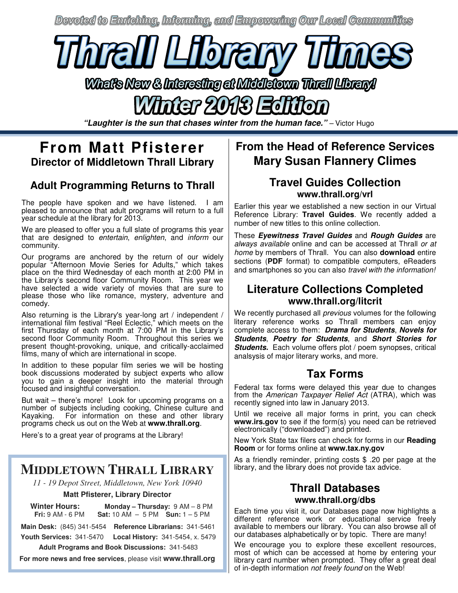Devoted to Enriching, Informing, and Empowering Our Local Communities



What's New & Interesting at Middletown Thrail Library!

**"Laughter is the sun that chases winter from the human face."** – Victor Hugo

## **From Matt Pfisterer Director of Middletown Thrall Library**

#### **Adult Programming Returns to Thrall**

The people have spoken and we have listened. I am pleased to announce that adult programs will return to a full year schedule at the library for 2013.

We are pleased to offer you a full slate of programs this year that are designed to entertain, enlighten, and inform our community.

Our programs are anchored by the return of our widely popular "Afternoon Movie Series for Adults," which takes place on the third Wednesday of each month at 2:00 PM in the Library's second floor Community Room. This year we have selected a wide variety of movies that are sure to please those who like romance, mystery, adventure and comedy.

Also returning is the Library's year-long art / independent / international film festival "Reel Eclectic," which meets on the first Thursday of each month at 7:00 PM in the Library's second floor Community Room. Throughout this series we present thought-provoking, unique, and critically-acclaimed films, many of which are international in scope.

In addition to these popular film series we will be hosting book discussions moderated by subject experts who allow you to gain a deeper insight into the material through focused and insightful conversation.

But wait – there's more! Look for upcoming programs on a number of subjects including cooking, Chinese culture and Kayaking. For information on these and other library For information on these and other library programs check us out on the Web at **www.thrall.org**.

Here's to a great year of programs at the Library!

## **MIDDLETOWN THRALL LIBRARY**

*11 - 19 Depot Street, Middletown, New York 10940* 

#### **Matt Pfisterer, Library Director**

 **Winter Hours: Monday – Thursday:** 9 AM – 8 PM

 **Fri:** 9 AM - 6 PM **Sat:** 10 AM – 5 PM **Sun:** 1 – 5 PM

**Main Desk:** (845) 341-5454 **Reference Librarians:** 341-5461  **Youth Services:** 341-5470 **Local History:** 341-5454, x. 5479

 **Adult Programs and Book Discussions:** 341-5483

**For more news and free services**, please visit **www.thrall.org**

### **From the Head of Reference Services Mary Susan Flannery Climes**

#### **Travel Guides Collection www.thrall.org/vrl**

Earlier this year we established a new section in our Virtual Reference Library: **Travel Guides**. We recently added a number of new titles to this online collection.

These **Eyewitness Travel Guides** and **Rough Guides** are always available online and can be accessed at Thrall or at home by members of Thrall. You can also **download** entire sections (**PDF** format) to compatible computers, eReaders and smartphones so you can also travel with the information!

#### **Literature Collections Completed www.thrall.org/litcrit**

We recently purchased all *previous* volumes for the following literary reference works so Thrall members can enjoy complete access to them: **Drama for Students**, **Novels for Students**, **Poetry for Students**, and **Short Stories for Students.** Each volume offers plot / poem synopses, critical analsysis of major literary works, and more.

#### **Tax Forms**

Federal tax forms were delayed this year due to changes from the American Taxpayer Relief Act (ATRA), which was recently signed into law in January 2013.

Until we receive all major forms in print, you can check www.irs.gov to see if the form(s) you need can be retrieved electronically ("downloaded") and printed.

New York State tax filers can check for forms in our **Reading Room** or for forms online at **www.tax.ny.gov** 

As a friendly reminder, printing costs \$ .20 per page at the library, and the library does not provide tax advice.

#### **Thrall Databases www.thrall.org/dbs**

Each time you visit it, our Databases page now highlights a different reference work or educational service freely available to members our library. You can also browse all of our databases alphabetically or by topic. There are many!

We encourage you to explore these excellent resources, most of which can be accessed at home by entering your library card number when prompted. They offer a great deal of in-depth information not freely found on the Web!